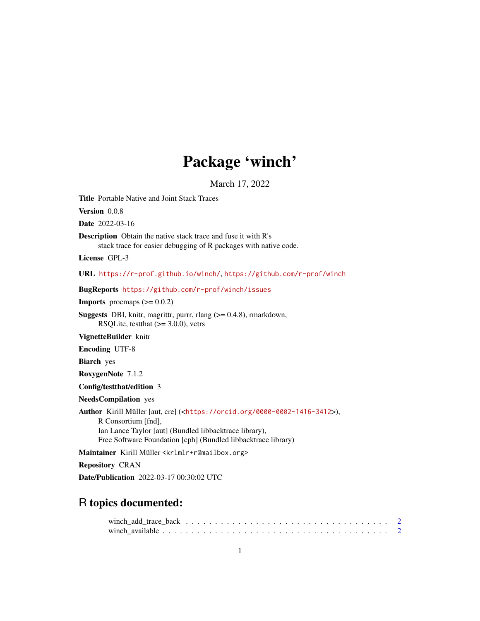# Package 'winch'

March 17, 2022

<span id="page-0-0"></span>Title Portable Native and Joint Stack Traces

Version 0.0.8

Date 2022-03-16

Description Obtain the native stack trace and fuse it with R's stack trace for easier debugging of R packages with native code.

License GPL-3

URL <https://r-prof.github.io/winch/>, <https://github.com/r-prof/winch>

BugReports <https://github.com/r-prof/winch/issues>

**Imports** procmaps  $(>= 0.0.2)$ 

**Suggests** DBI, knitr, magrittr, purrr, rlang  $(>= 0.4.8)$ , rmarkdown, RSQLite, test that  $(>= 3.0.0)$ , vctrs

VignetteBuilder knitr

Encoding UTF-8

Biarch yes

RoxygenNote 7.1.2

Config/testthat/edition 3

NeedsCompilation yes

Author Kirill Müller [aut, cre] (<<https://orcid.org/0000-0002-1416-3412>>), R Consortium [fnd], Ian Lance Taylor [aut] (Bundled libbacktrace library), Free Software Foundation [cph] (Bundled libbacktrace library)

Maintainer Kirill Müller <krlmlr+r@mailbox.org>

Repository CRAN

Date/Publication 2022-03-17 00:30:02 UTC

# R topics documented: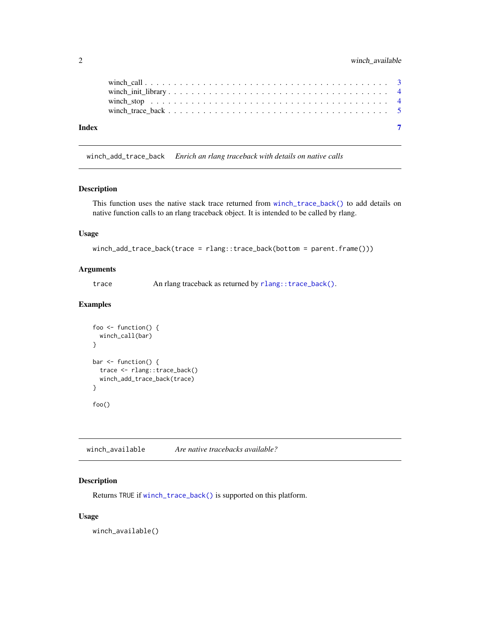<span id="page-1-0"></span>

| Index |  |  |  |  |  |  |  |  |  |  |  |  |  |  |  |
|-------|--|--|--|--|--|--|--|--|--|--|--|--|--|--|--|

winch\_add\_trace\_back *Enrich an rlang traceback with details on native calls*

#### Description

This function uses the native stack trace returned from [winch\\_trace\\_back\(\)](#page-4-1) to add details on native function calls to an rlang traceback object. It is intended to be called by rlang.

#### Usage

```
winch_add_trace_back(trace = rlang::trace_back(bottom = parent.frame()))
```
#### Arguments

trace An rlang traceback as returned by [rlang::trace\\_back\(\)](#page-0-0).

#### Examples

```
foo <- function() {
  winch_call(bar)
}
bar <- function() {
  trace <- rlang::trace_back()
  winch_add_trace_back(trace)
}
foo()
```
winch\_available *Are native tracebacks available?*

#### Description

Returns TRUE if [winch\\_trace\\_back\(\)](#page-4-1) is supported on this platform.

#### Usage

winch\_available()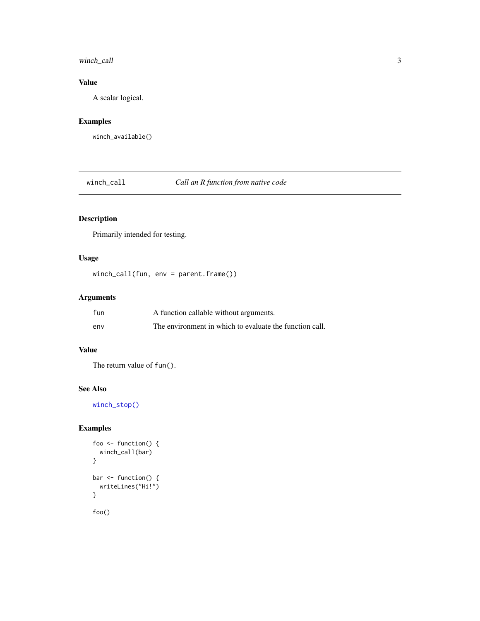#### <span id="page-2-0"></span>winch\_call 3

#### Value

A scalar logical.

# Examples

winch\_available()

<span id="page-2-1"></span>winch\_call *Call an R function from native code*

#### Description

Primarily intended for testing.

#### Usage

winch\_call(fun, env = parent.frame())

## Arguments

| fun | A function callable without arguments.                  |
|-----|---------------------------------------------------------|
| env | The environment in which to evaluate the function call. |

#### Value

The return value of fun().

#### See Also

[winch\\_stop\(\)](#page-3-1)

#### Examples

```
foo <- function() {
  winch_call(bar)
}
bar <- function() {
  writeLines("Hi!")
}
foo()
```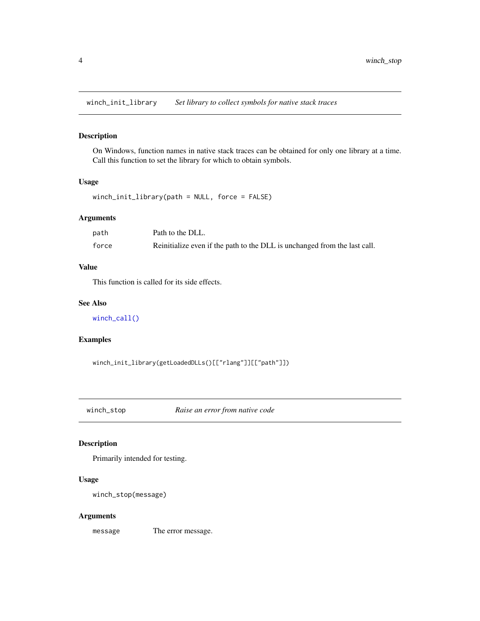<span id="page-3-2"></span><span id="page-3-0"></span>winch\_init\_library *Set library to collect symbols for native stack traces*

#### Description

On Windows, function names in native stack traces can be obtained for only one library at a time. Call this function to set the library for which to obtain symbols.

#### Usage

```
winch_init_library(path = NULL, force = FALSE)
```
#### Arguments

| path  | Path to the DLL.                                                          |
|-------|---------------------------------------------------------------------------|
| force | Reinitialize even if the path to the DLL is unchanged from the last call. |

#### Value

This function is called for its side effects.

#### See Also

[winch\\_call\(\)](#page-2-1)

#### Examples

winch\_init\_library(getLoadedDLLs()[["rlang"]][["path"]])

<span id="page-3-1"></span>winch\_stop *Raise an error from native code*

#### Description

Primarily intended for testing.

#### Usage

winch\_stop(message)

#### Arguments

message The error message.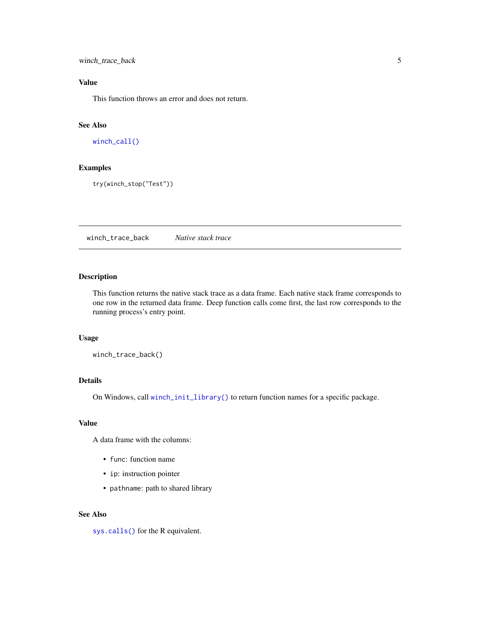<span id="page-4-0"></span>winch\_trace\_back 5

#### Value

This function throws an error and does not return.

## See Also

[winch\\_call\(\)](#page-2-1)

#### Examples

try(winch\_stop("Test"))

<span id="page-4-1"></span>winch\_trace\_back *Native stack trace*

#### Description

This function returns the native stack trace as a data frame. Each native stack frame corresponds to one row in the returned data frame. Deep function calls come first, the last row corresponds to the running process's entry point.

#### Usage

winch\_trace\_back()

#### Details

On Windows, call [winch\\_init\\_library\(\)](#page-3-2) to return function names for a specific package.

#### Value

A data frame with the columns:

- func: function name
- ip: instruction pointer
- pathname: path to shared library

#### See Also

[sys.calls\(\)](#page-0-0) for the R equivalent.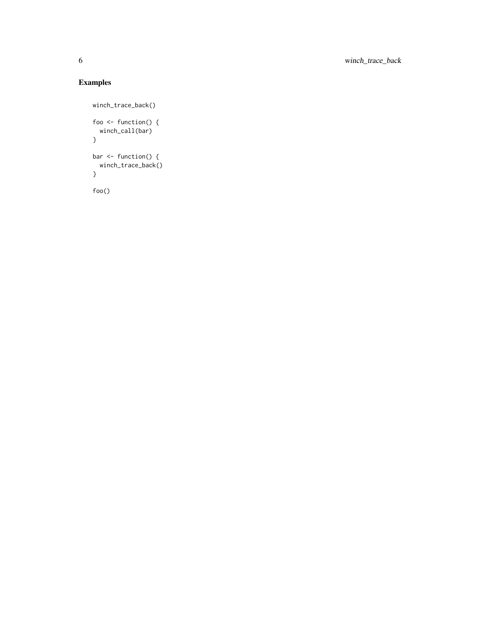# Examples

```
winch_trace_back()
foo <- function() {
  winch_call(bar)
}
bar <- function() {
  winch_trace_back()
}
```
foo()